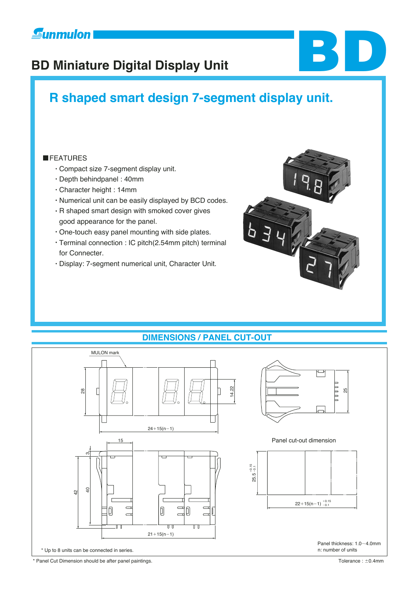# **Eunmulon**

# **BD Miniature Digital Display Unit**

# **R shaped smart design 7-segment display unit.**

#### **FEATURES**

- Compact size 7-segment display unit.
- Depth behindpanel : 40mm
- Character height : 14mm
- Numerical unit can be easily displayed by BCD codes.
- R shaped smart design with smoked cover gives good appearance for the panel.
- One-touch easy panel mounting with side plates.
- Terminal connection : IC pitch(2.54mm pitch) terminal for Connecter.
- Display: 7-segment numerical unit, Character Unit.



**BD**

## **DIMENSIONS / PANEL CUT-OUT**



\* Panel Cut Dimension should be after panel paintings.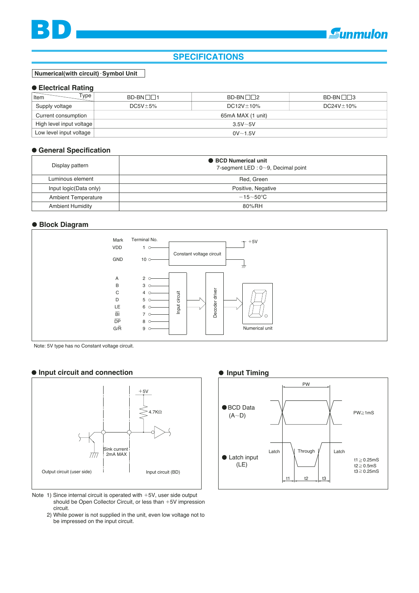

### **SPECIFICATIONS**

**Numerical(with circuit) Symbol Unit** 

#### **Electrical Rating**

| $\sqrt{\text{Item}}$<br>Type <sub>1</sub> | $BD-BN \Box \Box 1$ | $BD-BN \Box \Box 2$ | BD-BN □□3        |  |  |
|-------------------------------------------|---------------------|---------------------|------------------|--|--|
| Supply voltage                            | $DC5V \pm 5\%$      | $DC12V \pm 10\%$    | $DC24V \pm 10\%$ |  |  |
| Current consumption                       | 65mA MAX (1 unit)   |                     |                  |  |  |
| High level input voltage                  | $3.5V - 5V$         |                     |                  |  |  |
| Low level input voltage                   | $0V \sim 1.5V$      |                     |                  |  |  |

#### **General Specification**

| Display pattern            | <b>BCD Numerical unit</b><br>7-segment LED : $0 \sim 9$ , Decimal point |  |  |
|----------------------------|-------------------------------------------------------------------------|--|--|
| Luminous element           | Red. Green                                                              |  |  |
| Input logic (Data only)    | Positive, Negative                                                      |  |  |
| <b>Ambient Temperature</b> | $-15\negthinspace\negthinspace\negthinspace 50^{\circ}\mathrm{C}$       |  |  |
| <b>Ambient Humidity</b>    | 80%RH                                                                   |  |  |

#### **Block Diagram**



Note: 5V type has no Constant voltage circuit.

#### **Input circuit and connection**



- Note 1) Since internal circuit is operated with  $+5V$ , user side output should be Open Collector Circuit, or less than  $+5V$  impression circuit.
	- 2) While power is not supplied in the unit, even low voltage not to be impressed on the input circuit.

#### $\bullet$  Input Timing

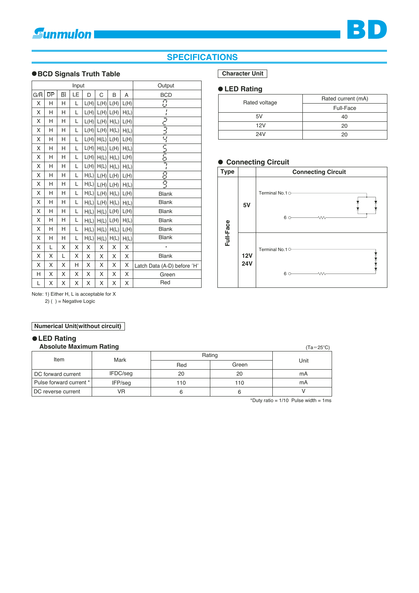## **SPECIFICATIONS**

#### **BCD Signals Truth Table**

| Input |                 |                          |    |      | Output |                          |      |                             |
|-------|-----------------|--------------------------|----|------|--------|--------------------------|------|-----------------------------|
| G/R   | $\overline{DP}$ | $\overline{\mathsf{BI}}$ | LE | D    | C      | B                        | Α    | <b>BCD</b>                  |
| X     | н               | H                        | Г  | L(H) |        | $L(H)$ $L(H)$            | L(H) | $\overline{C}$              |
| Χ     | н               | Н                        | Г  | L(H) |        | $L(H)$ $L(H)$            | H(L) |                             |
| X     | н               | Н                        | Г  | L(H) | L(H)   | H(L)                     | L(H) | ミミュ                         |
| X     | н               | н                        | L  | L(H) |        | $L(H)$ $H(L)$            | H(L) |                             |
| Χ     | н               | н                        | L  | L(H) |        | $H(L)$ $L(H)$            | L(H) | 닉                           |
| Χ     | н               | н                        | Г  | L(H) |        | $H(L)$ $L(H)$            | H(L) | 互互互                         |
| X     | н               | Н                        | L  | L(H) |        | $H(L)$ $H(L)$            | L(H) |                             |
| Χ     | н               | н                        | L  | L(H) |        | $H(L)$ $H(L)$            | H(L) |                             |
| X     | н               | н                        | L  | H(L) |        | $L(H)$ $L(H)$            | L(H) | 8                           |
| X     | Н               | Н                        | L  | H(L) |        | $L(H)$ $L(H)$            | H(L) | ĝ                           |
| X     | Н               | Н                        | L  | H(L) |        | $L(H)$ $H(L)$            | L(H) | <b>Blank</b>                |
| Χ     | н               | н                        | L  | H(L) | L(H)   | H(L)                     | H(L) | <b>Blank</b>                |
| Χ     | н               | н                        | L  | H(L) |        | $H(L)$ $L(H)$            | L(H) | <b>Blank</b>                |
| Χ     | н               | н                        | Г  | H(L) |        | $H(L)$ $L(H)$            | H(L) | <b>Blank</b>                |
| X     | н               | Н                        | L  | H(L) | H(L)   | $\mathsf{H}(\mathsf{L})$ | L(H) | <b>Blank</b>                |
| X     | н               | H                        | L  | H(L) | H(L)   | H(L)                     | H(L) | <b>Blank</b>                |
| X     | L               | X                        | Χ  | X    | Χ      | Χ                        | Χ    | $\bullet$                   |
| X     | Χ               | Г                        | Χ  | X    | Χ      | Χ                        | Χ    | <b>Blank</b>                |
| Χ     | X               | X                        | Н  | X    | Χ      | Χ                        | X    | Latch Data (A-D) before 'H' |
| н     | Χ               | X                        | X  | X    | X      | Χ                        | X    | Green                       |
| Г     | Χ               | Χ                        | Χ  | Χ    | Χ      | Χ                        | Χ    | Red                         |

#### **Character Unit**

#### **LED Rating**

| Rated voltage | Rated current (mA) |  |
|---------------|--------------------|--|
|               | Full-Face          |  |
| 5V            | 40                 |  |
| 12V           | 20                 |  |
| 24V           | 20                 |  |

#### **Connecting Circuit**



Note: 1) Either H, L is acceptable for X

2) ( ) = Negative Logic

#### **Numerical Unit(without circuit)**

#### **Absolute Maximum Rating LED Rating**

| <b>Absolute Maximum Rating</b> | $(Ta=25^{\circ}C)$ |        |       |      |  |
|--------------------------------|--------------------|--------|-------|------|--|
| Item                           | Mark               | Rating |       |      |  |
|                                |                    | Red    | Green | Unit |  |
| DC forward current             | IFDC/seq           | 20     | 20    | mA   |  |
| Pulse forward current *        | IFP/seq            | 110    | 110   | mA   |  |
| DC reverse current             | VR                 |        |       |      |  |

\*Duty ratio =  $1/10$  Pulse width =  $1 \text{ms}$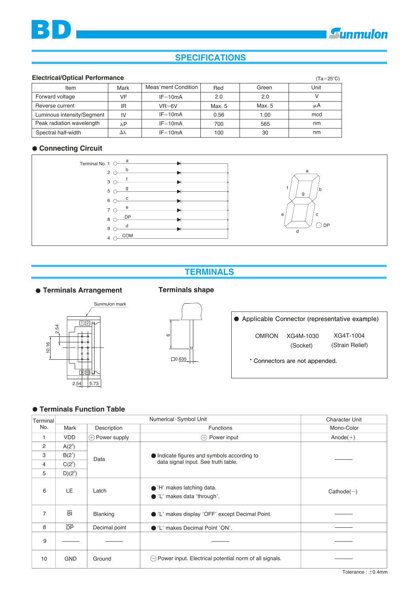## **SPECIFICATIONS**

#### **Electrical/Optical Performance**

**BD**

| Electrical/Optical Performance |      |                     |        |        | $(Ta=25^{\circ}C)$ |
|--------------------------------|------|---------------------|--------|--------|--------------------|
| Item                           | Mark | Meas'ment Condition | Red    | Green  | Unit               |
| Forward voltage                | VF   | $IF = 10mA$         | 2.0    | 2.0    |                    |
| Reverse current                | ΙR   | $VR=6V$             | Max. 5 | Max. 5 | μA                 |
| Luminous intensity/Segment     | IV   | $IF = 10mA$         | 0.56   | 1.00   | mcd                |
| Peak radiation wavelength      | λP   | $IF = 10mA$         | 700    | 565    | nm                 |
| Spectral half-width            | Δλ   | $IF = 10mA$         | 100    | 30     | nm                 |

#### **Connecting Circuit**



#### a b c d e f g  $\bigcirc$  DP

## **TERMINALS**

#### **Terminals Arrangement**

#### **Terminals shape**



# $\square$ 0.635 ဖ

**Applicable Connector (representative example)**

OMRON XG4M-1030 XG4T-1004

(Socket) (Strain Relief)

**\* Connectors are not appended.**

#### **Terminals Function Table**

| Terminal       |                |                       | <b>Character Unit</b>                                             |              |
|----------------|----------------|-----------------------|-------------------------------------------------------------------|--------------|
| No.            | Mark           | Description           | <b>Functions</b>                                                  | Mono-Color   |
| 1              | <b>VDD</b>     | $\oplus$ Power supply | $\oplus$ Power input                                              | $Anode(+)$   |
| $\overline{2}$ | $A(2^0)$       |                       |                                                                   |              |
| 3              | $B(2^{1})$     | Data                  | Indicate figures and symbols according to                         |              |
| 4              | $C(2^2)$       |                       | data signal input. See truth table.                               |              |
| 5              | $D(2^3)$       |                       |                                                                   |              |
| 6              | LE             | Latch                 | $\bullet$ 'H' makes latching data.<br>● 'L' makes data 'through'. | $Cathode(-)$ |
| $\overline{7}$ | $\overline{B}$ | <b>Blanking</b>       | ● 'L' makes display 'OFF' except Decimal Point.                   |              |
| 8              | <b>DP</b>      | Decimal point         | ●'L' makes Decimal Point 'ON'.                                    |              |
| 9              |                |                       |                                                                   |              |
| 10             | <b>GND</b>     | Ground                | $\ominus$ Power input. Electrical potential norm of all signals.  |              |